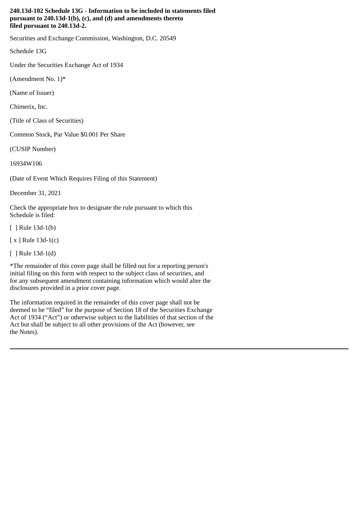#### **240.13d-102 Schedule 13G - Information to be included in statements filed pursuant to 240.13d-1(b), (c), and (d) and amendments thereto filed pursuant to 240.13d-2.**

Securities and Exchange Commission, Washington, D.C. 20549

Schedule 13G

Under the Securities Exchange Act of 1934

(Amendment No.  $1$ <sup>\*</sup>

(Name of Issuer)

Chimerix, Inc.

(Title of Class of Securities)

Common Stock, Par Value \$0.001 Per Share

(CUSIP Number)

16934W106

(Date of Event Which Requires Filing of this Statement)

December 31, 2021

Check the appropriate box to designate the rule pursuant to which this Schedule is filed:

[ ] Rule 13d-1(b)

[ x ] Rule 13d-1(c)

[ ] Rule 13d-1(d)

\*The remainder of this cover page shall be filled out for a reporting person's initial filing on this form with respect to the subject class of securities, and for any subsequent amendment containing information which would alter the disclosures provided in a prior cover page.

The information required in the remainder of this cover page shall not be deemed to be "filed" for the purpose of Section 18 of the Securities Exchange Act of 1934 ("Act") or otherwise subject to the liabilities of that section of the Act but shall be subject to all other provisions of the Act (however, see the Notes).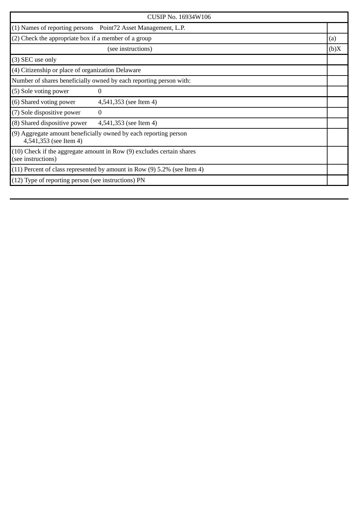| <b>CUSIP No. 16934W106</b>                                                                  |                                                                |      |
|---------------------------------------------------------------------------------------------|----------------------------------------------------------------|------|
|                                                                                             | (1) Names of reporting persons  Point72 Asset Management, L.P. |      |
| (2) Check the appropriate box if a member of a group                                        |                                                                | (a)  |
|                                                                                             | (see instructions)                                             | (b)X |
| (3) SEC use only                                                                            |                                                                |      |
| (4) Citizenship or place of organization Delaware                                           |                                                                |      |
| Number of shares beneficially owned by each reporting person with:                          |                                                                |      |
| (5) Sole voting power                                                                       | 0                                                              |      |
| (6) Shared voting power                                                                     | 4,541,353 (see Item 4)                                         |      |
| (7) Sole dispositive power                                                                  | $\Omega$                                                       |      |
| (8) Shared dispositive power                                                                | 4,541,353 (see Item 4)                                         |      |
| (9) Aggregate amount beneficially owned by each reporting person<br>4,541,353 (see Item 4)  |                                                                |      |
| (10) Check if the aggregate amount in Row (9) excludes certain shares<br>(see instructions) |                                                                |      |
| (11) Percent of class represented by amount in Row (9) 5.2% (see Item 4)                    |                                                                |      |
| (12) Type of reporting person (see instructions) PN                                         |                                                                |      |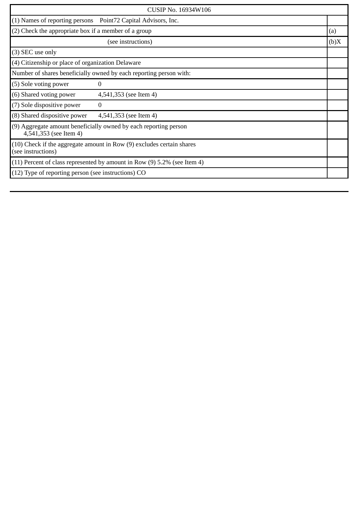| CUSIP No. 16934W106                                                                             |                                                                |      |
|-------------------------------------------------------------------------------------------------|----------------------------------------------------------------|------|
|                                                                                                 | (1) Names of reporting persons  Point72 Capital Advisors, Inc. |      |
| (2) Check the appropriate box if a member of a group                                            |                                                                | (a)  |
|                                                                                                 | (see instructions)                                             | (b)X |
| (3) SEC use only                                                                                |                                                                |      |
| (4) Citizenship or place of organization Delaware                                               |                                                                |      |
| Number of shares beneficially owned by each reporting person with:                              |                                                                |      |
| (5) Sole voting power                                                                           | 0                                                              |      |
| (6) Shared voting power                                                                         | 4,541,353 (see Item 4)                                         |      |
| (7) Sole dispositive power                                                                      | $\bf{0}$                                                       |      |
| (8) Shared dispositive power                                                                    | 4,541,353 (see Item 4)                                         |      |
| (9) Aggregate amount beneficially owned by each reporting person<br>4,541,353 (see Item 4)      |                                                                |      |
| $(10)$ Check if the aggregate amount in Row $(9)$ excludes certain shares<br>(see instructions) |                                                                |      |
| $(11)$ Percent of class represented by amount in Row $(9)$ 5.2% (see Item 4)                    |                                                                |      |
| $(12)$ Type of reporting person (see instructions) CO                                           |                                                                |      |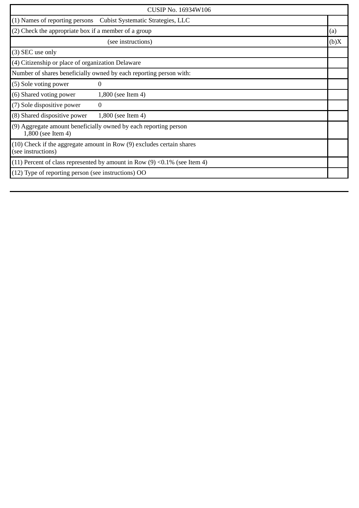| <b>CUSIP No. 16934W106</b>                                                                  |                                                                  |      |
|---------------------------------------------------------------------------------------------|------------------------------------------------------------------|------|
|                                                                                             | (1) Names of reporting persons Cubist Systematic Strategies, LLC |      |
|                                                                                             | (2) Check the appropriate box if a member of a group             |      |
|                                                                                             | (see instructions)                                               | (b)X |
| (3) SEC use only                                                                            |                                                                  |      |
| (4) Citizenship or place of organization Delaware                                           |                                                                  |      |
| Number of shares beneficially owned by each reporting person with:                          |                                                                  |      |
| (5) Sole voting power                                                                       | 0                                                                |      |
| (6) Shared voting power                                                                     | $1,800$ (see Item 4)                                             |      |
| (7) Sole dispositive power                                                                  | $\Omega$                                                         |      |
| (8) Shared dispositive power                                                                | 1,800 (see Item 4)                                               |      |
| (9) Aggregate amount beneficially owned by each reporting person<br>1,800 (see Item 4)      |                                                                  |      |
| (10) Check if the aggregate amount in Row (9) excludes certain shares<br>(see instructions) |                                                                  |      |
| (11) Percent of class represented by amount in Row $(9)$ <0.1% (see Item 4)                 |                                                                  |      |
| (12) Type of reporting person (see instructions) OO                                         |                                                                  |      |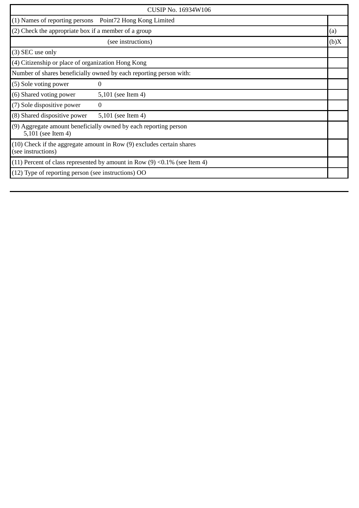| CUSIP No. 16934W106                                                                         |                                                      |      |
|---------------------------------------------------------------------------------------------|------------------------------------------------------|------|
| (1) Names of reporting persons  Point72 Hong Kong Limited                                   |                                                      |      |
|                                                                                             | (2) Check the appropriate box if a member of a group |      |
|                                                                                             | (see instructions)                                   | (b)X |
| (3) SEC use only                                                                            |                                                      |      |
| (4) Citizenship or place of organization Hong Kong                                          |                                                      |      |
| Number of shares beneficially owned by each reporting person with:                          |                                                      |      |
| (5) Sole voting power                                                                       | 0                                                    |      |
| (6) Shared voting power                                                                     | 5,101 (see Item 4)                                   |      |
| (7) Sole dispositive power                                                                  | $\bf{0}$                                             |      |
| (8) Shared dispositive power                                                                | 5,101 (see Item 4)                                   |      |
| (9) Aggregate amount beneficially owned by each reporting person<br>5,101 (see Item 4)      |                                                      |      |
| (10) Check if the aggregate amount in Row (9) excludes certain shares<br>(see instructions) |                                                      |      |
| (11) Percent of class represented by amount in Row $(9)$ <0.1% (see Item 4)                 |                                                      |      |
| (12) Type of reporting person (see instructions) OO                                         |                                                      |      |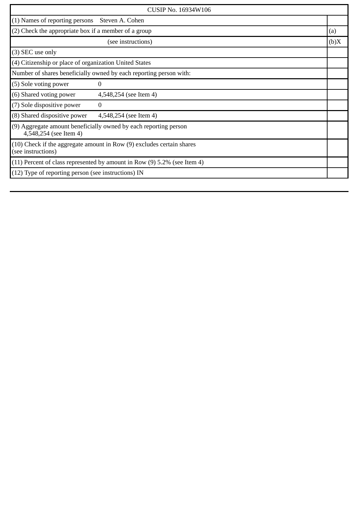| CUSIP No. 16934W106                                                                             |                        |      |
|-------------------------------------------------------------------------------------------------|------------------------|------|
| $(1)$ Names of reporting persons                                                                | Steven A. Cohen        |      |
| (2) Check the appropriate box if a member of a group                                            |                        | (a)  |
|                                                                                                 | (see instructions)     | (b)X |
| (3) SEC use only                                                                                |                        |      |
| (4) Citizenship or place of organization United States                                          |                        |      |
| Number of shares beneficially owned by each reporting person with:                              |                        |      |
| (5) Sole voting power                                                                           | 0                      |      |
| (6) Shared voting power                                                                         | 4,548,254 (see Item 4) |      |
| (7) Sole dispositive power                                                                      | $\bf{0}$               |      |
| (8) Shared dispositive power                                                                    | 4,548,254 (see Item 4) |      |
| (9) Aggregate amount beneficially owned by each reporting person<br>4,548,254 (see Item 4)      |                        |      |
| $(10)$ Check if the aggregate amount in Row $(9)$ excludes certain shares<br>(see instructions) |                        |      |
| $(11)$ Percent of class represented by amount in Row $(9)$ 5.2% (see Item 4)                    |                        |      |
| $(12)$ Type of reporting person (see instructions) IN                                           |                        |      |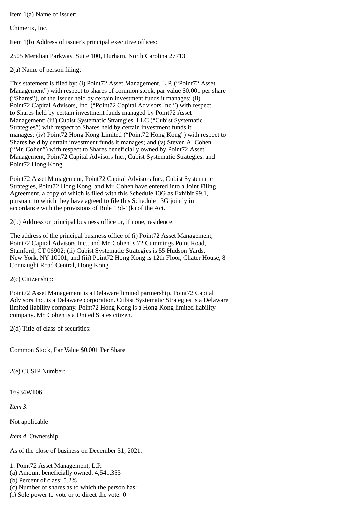Item 1(a) Name of issuer:

Chimerix, Inc.

Item 1(b) Address of issuer's principal executive offices:

2505 Meridian Parkway, Suite 100, Durham, North Carolina 27713

2(a) Name of person filing:

This statement is filed by: (i) Point72 Asset Management, L.P. ("Point72 Asset Management") with respect to shares of common stock, par value \$0.001 per share ("Shares"), of the Issuer held by certain investment funds it manages; (ii) Point72 Capital Advisors, Inc. ("Point72 Capital Advisors Inc.") with respect to Shares held by certain investment funds managed by Point72 Asset Management; (iii) Cubist Systematic Strategies, LLC ("Cubist Systematic Strategies") with respect to Shares held by certain investment funds it manages; (iv) Point72 Hong Kong Limited ("Point72 Hong Kong") with respect to Shares held by certain investment funds it manages; and (v) Steven A. Cohen ("Mr. Cohen") with respect to Shares beneficially owned by Point72 Asset Management, Point72 Capital Advisors Inc., Cubist Systematic Strategies, and Point72 Hong Kong.

Point72 Asset Management, Point72 Capital Advisors Inc., Cubist Systematic Strategies, Point72 Hong Kong, and Mr. Cohen have entered into a Joint Filing Agreement, a copy of which is filed with this Schedule 13G as Exhibit 99.1, pursuant to which they have agreed to file this Schedule 13G jointly in accordance with the provisions of Rule 13d-1(k) of the Act.

2(b) Address or principal business office or, if none, residence:

The address of the principal business office of (i) Point72 Asset Management, Point72 Capital Advisors Inc., and Mr. Cohen is 72 Cummings Point Road, Stamford, CT 06902; (ii) Cubist Systematic Strategies is 55 Hudson Yards, New York, NY 10001; and (iii) Point72 Hong Kong is 12th Floor, Chater House, 8 Connaught Road Central, Hong Kong.

2(c) Citizenship:

Point72 Asset Management is a Delaware limited partnership. Point72 Capital Advisors Inc. is a Delaware corporation. Cubist Systematic Strategies is a Delaware limited liability company. Point72 Hong Kong is a Hong Kong limited liability company. Mr. Cohen is a United States citizen.

2(d) Title of class of securities:

Common Stock, Par Value \$0.001 Per Share

2(e) CUSIP Number:

16934W106

*Item 3.*

Not applicable

*Item 4.* Ownership

As of the close of business on December 31, 2021:

1. Point72 Asset Management, L.P.

(a) Amount beneficially owned: 4,541,353

(b) Percent of class: 5.2%

(c) Number of shares as to which the person has:

(i) Sole power to vote or to direct the vote: 0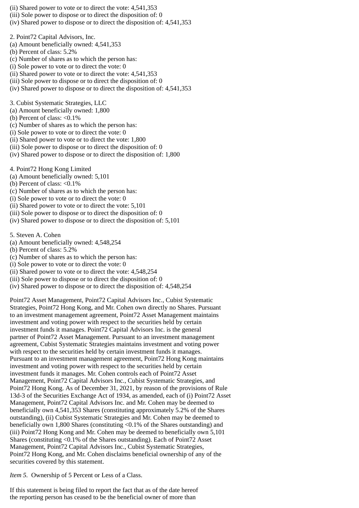- (ii) Shared power to vote or to direct the vote: 4,541,353
- (iii) Sole power to dispose or to direct the disposition of: 0
- (iv) Shared power to dispose or to direct the disposition of: 4,541,353
- 2. Point72 Capital Advisors, Inc.
- (a) Amount beneficially owned: 4,541,353
- (b) Percent of class: 5.2%
- (c) Number of shares as to which the person has:
- (i) Sole power to vote or to direct the vote: 0
- (ii) Shared power to vote or to direct the vote: 4,541,353
- (iii) Sole power to dispose or to direct the disposition of: 0
- (iv) Shared power to dispose or to direct the disposition of: 4,541,353
- 3. Cubist Systematic Strategies, LLC
- (a) Amount beneficially owned: 1,800
- (b) Percent of class: <0.1%
- (c) Number of shares as to which the person has:
- (i) Sole power to vote or to direct the vote: 0
- (ii) Shared power to vote or to direct the vote: 1,800
- (iii) Sole power to dispose or to direct the disposition of: 0
- (iv) Shared power to dispose or to direct the disposition of: 1,800
- 4. Point72 Hong Kong Limited
- (a) Amount beneficially owned: 5,101
- (b) Percent of class: <0.1%
- (c) Number of shares as to which the person has:
- (i) Sole power to vote or to direct the vote: 0
- (ii) Shared power to vote or to direct the vote: 5,101
- (iii) Sole power to dispose or to direct the disposition of: 0
- (iv) Shared power to dispose or to direct the disposition of: 5,101
- 5. Steven A. Cohen
- (a) Amount beneficially owned: 4,548,254
- (b) Percent of class: 5.2%
- (c) Number of shares as to which the person has:
- (i) Sole power to vote or to direct the vote: 0
- (ii) Shared power to vote or to direct the vote: 4,548,254
- (iii) Sole power to dispose or to direct the disposition of: 0
- (iv) Shared power to dispose or to direct the disposition of: 4,548,254

Point72 Asset Management, Point72 Capital Advisors Inc., Cubist Systematic Strategies, Point72 Hong Kong, and Mr. Cohen own directly no Shares. Pursuant to an investment management agreement, Point72 Asset Management maintains investment and voting power with respect to the securities held by certain investment funds it manages. Point72 Capital Advisors Inc. is the general partner of Point72 Asset Management. Pursuant to an investment management agreement, Cubist Systematic Strategies maintains investment and voting power with respect to the securities held by certain investment funds it manages. Pursuant to an investment management agreement, Point72 Hong Kong maintains investment and voting power with respect to the securities held by certain investment funds it manages. Mr. Cohen controls each of Point72 Asset Management, Point72 Capital Advisors Inc., Cubist Systematic Strategies, and Point72 Hong Kong. As of December 31, 2021, by reason of the provisions of Rule 13d-3 of the Securities Exchange Act of 1934, as amended, each of (i) Point72 Asset Management, Point72 Capital Advisors Inc. and Mr. Cohen may be deemed to beneficially own 4,541,353 Shares (constituting approximately 5.2% of the Shares outstanding), (ii) Cubist Systematic Strategies and Mr. Cohen may be deemed to beneficially own 1,800 Shares (constituting <0.1% of the Shares outstanding) and (iii) Point72 Hong Kong and Mr. Cohen may be deemed to beneficially own 5,101 Shares (constituting <0.1% of the Shares outstanding). Each of Point72 Asset Management, Point72 Capital Advisors Inc., Cubist Systematic Strategies, Point72 Hong Kong, and Mr. Cohen disclaims beneficial ownership of any of the securities covered by this statement.

*Item 5.* Ownership of 5 Percent or Less of a Class.

If this statement is being filed to report the fact that as of the date hereof the reporting person has ceased to be the beneficial owner of more than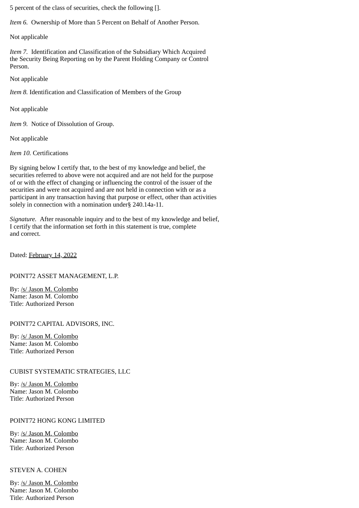5 percent of the class of securities, check the following [].

*Item 6.* Ownership of More than 5 Percent on Behalf of Another Person.

Not applicable

*Item 7.* Identification and Classification of the Subsidiary Which Acquired the Security Being Reporting on by the Parent Holding Company or Control Person.

Not applicable

*Item 8.* Identification and Classification of Members of the Group

Not applicable

*Item 9.* Notice of Dissolution of Group.

Not applicable

*Item 10.* Certifications

By signing below I certify that, to the best of my knowledge and belief, the securities referred to above were not acquired and are not held for the purpose of or with the effect of changing or influencing the control of the issuer of the securities and were not acquired and are not held in connection with or as a participant in any transaction having that purpose or effect, other than activities solely in connection with a nomination under§ 240.14a-11.

*Signature.* After reasonable inquiry and to the best of my knowledge and belief, I certify that the information set forth in this statement is true, complete and correct.

Dated: February 14, 2022

# POINT72 ASSET MANAGEMENT, L.P.

By: /s/ Jason M. Colombo Name: Jason M. Colombo Title: Authorized Person

POINT72 CAPITAL ADVISORS, INC.

By: /s/ Jason M. Colombo Name: Jason M. Colombo Title: Authorized Person

# CUBIST SYSTEMATIC STRATEGIES, LLC

By: /s/ Jason M. Colombo Name: Jason M. Colombo Title: Authorized Person

# POINT72 HONG KONG LIMITED

By: /s/ Jason M. Colombo Name: Jason M. Colombo Title: Authorized Person

# STEVEN A. COHEN

By: /s/ Jason M. Colombo Name: Jason M. Colombo Title: Authorized Person